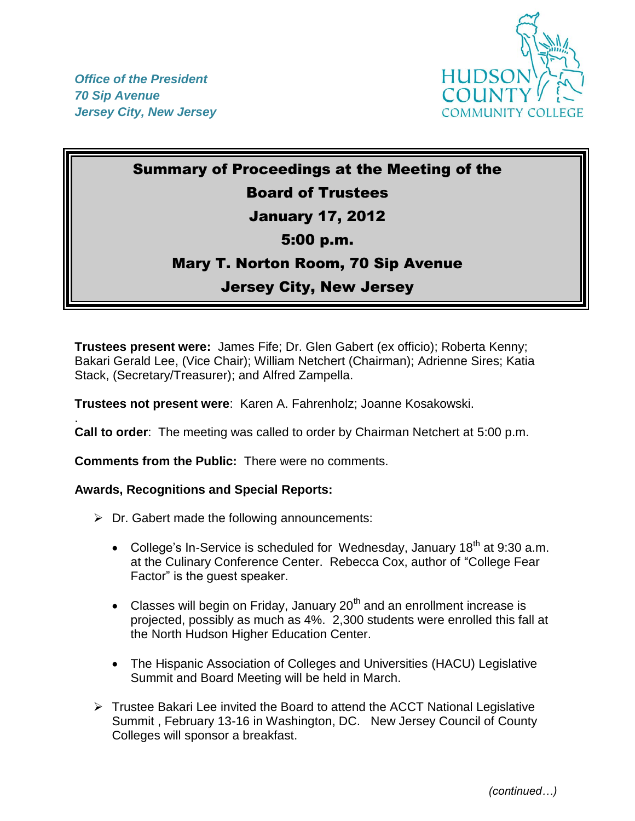

.



# Summary of Proceedings at the Meeting of the Board of Trustees January 17, 2012 5:00 p.m. Mary T. Norton Room, 70 Sip Avenue Jersey City, New Jersey

**Trustees present were:** James Fife; Dr. Glen Gabert (ex officio); Roberta Kenny; Bakari Gerald Lee, (Vice Chair); William Netchert (Chairman); Adrienne Sires; Katia Stack, (Secretary/Treasurer); and Alfred Zampella.

**Trustees not present were**: Karen A. Fahrenholz; Joanne Kosakowski.

**Call to order**: The meeting was called to order by Chairman Netchert at 5:00 p.m.

**Comments from the Public:** There were no comments.

#### **Awards, Recognitions and Special Reports:**

- $\triangleright$  Dr. Gabert made the following announcements:
	- College's In-Service is scheduled for Wednesday, January  $18<sup>th</sup>$  at 9:30 a.m. at the Culinary Conference Center. Rebecca Cox, author of "College Fear Factor" is the guest speaker.
	- Classes will begin on Friday, January  $20<sup>th</sup>$  and an enrollment increase is projected, possibly as much as 4%. 2,300 students were enrolled this fall at the North Hudson Higher Education Center.
	- The Hispanic Association of Colleges and Universities (HACU) Legislative Summit and Board Meeting will be held in March.
- $\triangleright$  Trustee Bakari Lee invited the Board to attend the ACCT National Legislative Summit , February 13-16 in Washington, DC. New Jersey Council of County Colleges will sponsor a breakfast.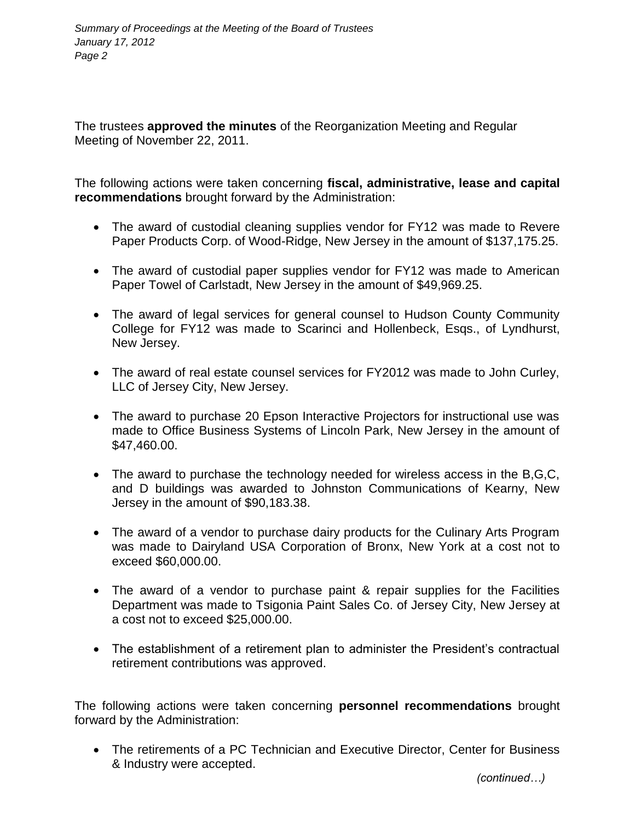The trustees **approved the minutes** of the Reorganization Meeting and Regular Meeting of November 22, 2011.

The following actions were taken concerning **fiscal, administrative, lease and capital recommendations** brought forward by the Administration:

- The award of custodial cleaning supplies vendor for FY12 was made to Revere Paper Products Corp. of Wood-Ridge, New Jersey in the amount of \$137,175.25.
- The award of custodial paper supplies vendor for FY12 was made to American Paper Towel of Carlstadt, New Jersey in the amount of \$49,969.25.
- The award of legal services for general counsel to Hudson County Community College for FY12 was made to Scarinci and Hollenbeck, Esqs., of Lyndhurst, New Jersey.
- The award of real estate counsel services for FY2012 was made to John Curley, LLC of Jersey City, New Jersey.
- The award to purchase 20 Epson Interactive Projectors for instructional use was made to Office Business Systems of Lincoln Park, New Jersey in the amount of \$47,460.00.
- The award to purchase the technology needed for wireless access in the B,G,C, and D buildings was awarded to Johnston Communications of Kearny, New Jersey in the amount of \$90,183.38.
- The award of a vendor to purchase dairy products for the Culinary Arts Program was made to Dairyland USA Corporation of Bronx, New York at a cost not to exceed \$60,000.00.
- The award of a vendor to purchase paint & repair supplies for the Facilities Department was made to Tsigonia Paint Sales Co. of Jersey City, New Jersey at a cost not to exceed \$25,000.00.
- The establishment of a retirement plan to administer the President's contractual retirement contributions was approved.

The following actions were taken concerning **personnel recommendations** brought forward by the Administration:

 The retirements of a PC Technician and Executive Director, Center for Business & Industry were accepted.